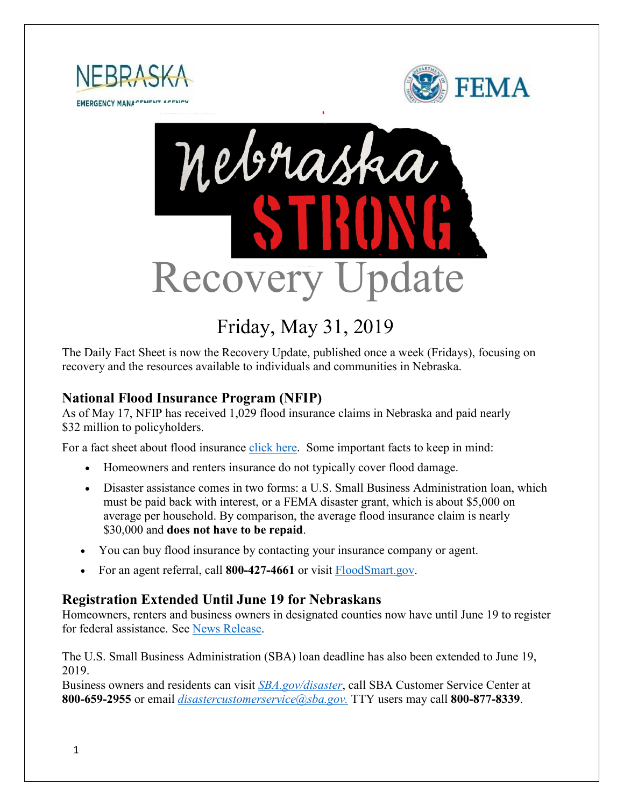





# Friday, May 31, 2019

The Daily Fact Sheet is now the Recovery Update, published once a week (Fridays), focusing on recovery and the resources available to individuals and communities in Nebraska.

# **National Flood Insurance Program (NFIP)**

As of May 17, NFIP has received 1,029 flood insurance claims in Nebraska and paid nearly \$32 million to policyholders.

For a fact sheet about flood insurance [click here.](https://www.fema.gov/news-release/2019/05/29/fact-sheet-why-should-i-buy-flood-insurance) Some important facts to keep in mind:

- Homeowners and renters insurance do not typically cover flood damage.
- Disaster assistance comes in two forms: a U.S. Small Business Administration loan, which must be paid back with interest, or a FEMA disaster grant, which is about \$5,000 on average per household. By comparison, the average flood insurance claim is nearly \$30,000 and **does not have to be repaid**.
- You can buy flood insurance by contacting your insurance company or agent.
- For an agent referral, call **800-427-4661** or visit [FloodSmart.gov.](https://www.floodsmart.gov/)

# **Registration Extended Until June 19 for Nebraskans**

Homeowners, renters and business owners in designated counties now have until June 19 to register for federal assistance. See [News Release.](https://www.fema.gov/news-release/2019/05/16/individual-assistance-now-available-until-june-19-nebraskans)

The U.S. Small Business Administration (SBA) loan deadline has also been extended to June 19, 2019.

Business owners and residents can visit *[SBA.gov/disaster](http://www.sba.gov/disaster)*, call SBA Customer Service Center at **800-659-2955** or email *[disastercustomerservice@sba.gov.](mailto:disastercustomerservice@sba.gov)* TTY users may call **800-877-8339**.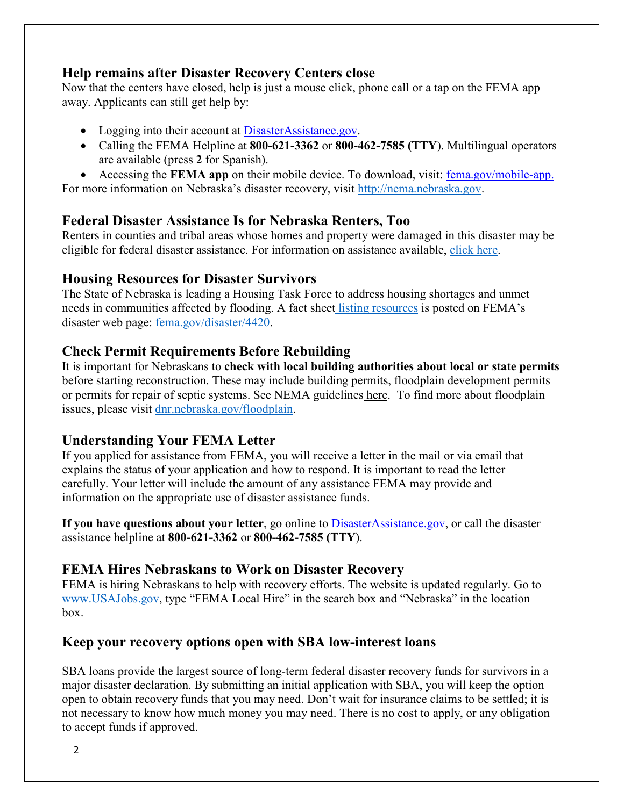### **Help remains after Disaster Recovery Centers close**

Now that the centers have closed, help is just a mouse click, phone call or a tap on the FEMA app away. Applicants can still get help by:

- Logging into their account at [DisasterAssistance.gov.](http://www.disasterassistance.gov/)
- Calling the FEMA Helpline at **800-621-3362** or **800-462-7585 (TTY**). Multilingual operators are available (press **2** for Spanish).
- Accessing the **FEMA app** on their mobile device. To download, visit: [fema.gov/mobile-app.](https://www.fema.gov/mobile-app)

For more information on Nebraska's disaster recovery, visit [http://nema.nebraska.gov.](http://nema.nebraska.gov/)

# **Federal Disaster Assistance Is for Nebraska Renters, Too**

Renters in counties and tribal areas whose homes and property were damaged in this disaster may be eligible for federal disaster assistance. For information on assistance available, [click here.](https://www.fema.gov/news-release/2019/05/13/federal-disaster-assistance-nebraska-renters-too)

#### **Housing Resources for Disaster Survivors**

The State of Nebraska is leading a Housing Task Force to address housing shortages and unmet needs in communities affected by flooding. A fact sheet [listing resources](https://edit.fema.gov/news-release/2019/04/19/fact-sheet-housing-resources-residents-nebraska-affected-march-storms-0) is posted on FEMA's disaster web page: [fema.gov/disaster/4420.](http://www.fema.gov/disaster/4420)

# **Check Permit Requirements Before Rebuilding**

It is important for Nebraskans to **check with local building authorities about local or state permits** before starting reconstruction. These may include building permits, floodplain development permits or permits for repair of septic systems. See NEMA guidelines [here.](https://nema.nebraska.gov/sites/nema.nebraska.gov/files/doc/ehp-considerations.pdf) To find more about floodplain issues, please visit [dnr.nebraska.gov/floodplain.](https://dnr.nebraska.gov/floodplain)

# **Understanding Your FEMA Letter**

If you applied for assistance from FEMA, you will receive a letter in the mail or via email that explains the status of your application and how to respond. It is important to read the letter carefully. Your letter will include the amount of any assistance FEMA may provide and information on the appropriate use of disaster assistance funds.

**If you have questions about your letter**, go online to [DisasterAssistance.gov,](http://www.disasterassistance.gov/) or call the disaster assistance helpline at **800-621-3362** or **800-462-7585 (TTY**).

#### **FEMA Hires Nebraskans to Work on Disaster Recovery**

FEMA is hiring Nebraskans to help with recovery efforts. The website is updated regularly. Go to [www.USAJobs.gov,](http://www.usajobs.gov/) type "FEMA Local Hire" in the search box and "Nebraska" in the location box.

#### **Keep your recovery options open with SBA low-interest loans**

SBA loans provide the largest source of long-term federal disaster recovery funds for survivors in a major disaster declaration. By submitting an initial application with SBA, you will keep the option open to obtain recovery funds that you may need. Don't wait for insurance claims to be settled; it is not necessary to know how much money you may need. There is no cost to apply, or any obligation to accept funds if approved.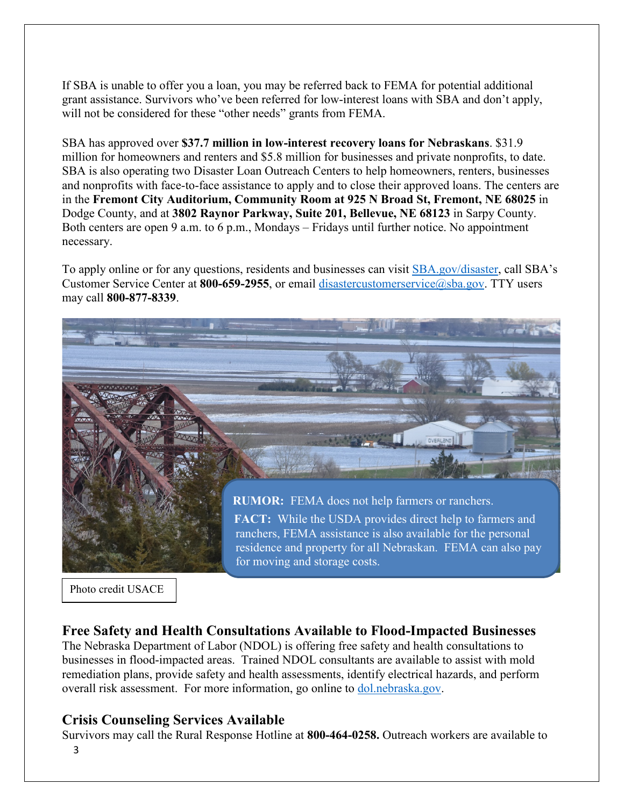If SBA is unable to offer you a loan, you may be referred back to FEMA for potential additional grant assistance. Survivors who've been referred for low-interest loans with SBA and don't apply, will not be considered for these "other needs" grants from FEMA.

SBA has approved over **\$37.7 million in low-interest recovery loans for Nebraskans**. \$31.9 million for homeowners and renters and \$5.8 million for businesses and private nonprofits, to date. SBA is also operating two Disaster Loan Outreach Centers to help homeowners, renters, businesses and nonprofits with face-to-face assistance to apply and to close their approved loans. The centers are in the **Fremont City Auditorium, Community Room at 925 N Broad St, Fremont, NE 68025** in Dodge County, and at **3802 Raynor Parkway, Suite 201, Bellevue, NE 68123** in Sarpy County. Both centers are open 9 a.m. to 6 p.m., Mondays – Fridays until further notice. No appointment necessary.

To apply online or for any questions, residents and businesses can visit [SBA.gov/disaster,](http://www.sba.gov/disaster) call SBA's Customer Service Center at **800-659-2955**, or email [disastercustomerservice@sba.gov.](mailto:disastercustomerservice@sba.gov) TTY users may call **800-877-8339**.



Photo credit USACE

# **Free Safety and Health Consultations Available to Flood-Impacted Businesses**

The Nebraska Department of Labor (NDOL) is offering free safety and health consultations to businesses in flood-impacted areas. Trained NDOL consultants are available to assist with mold remediation plans, provide safety and health assessments, identify electrical hazards, and perform overall risk assessment. For more information, go online to [dol.nebraska.gov.](https://dol.nebraska.gov/PressRelease/Details/117)

#### **Crisis Counseling Services Available**

3 Survivors may call the Rural Response Hotline at **800-464-0258.** Outreach workers are available to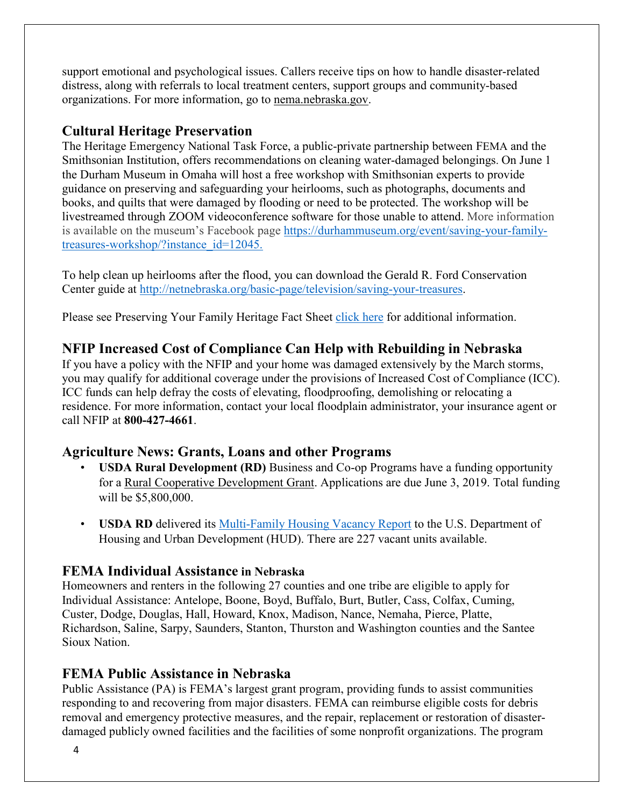support emotional and psychological issues. Callers receive tips on how to handle disaster-related distress, along with referrals to local treatment centers, support groups and community-based organizations. For more information, go to [nema.nebraska.gov.](file://fema.net/R7/DR/DR-4420-NE/EA/Planning%20and%20Products/Writers/Dale%20Bonza/DFS/nema.nebraska.gov)

# **Cultural Heritage Preservation**

The Heritage Emergency National Task Force, a public-private partnership between FEMA and the Smithsonian Institution, offers recommendations on cleaning water-damaged belongings. On June 1 the Durham Museum in Omaha will host a free workshop with Smithsonian experts to provide guidance on preserving and safeguarding your heirlooms, such as photographs, documents and books, and quilts that were damaged by flooding or need to be protected. The workshop will be livestreamed through ZOOM videoconference software for those unable to attend. More information is available on the museum's Facebook page [https://durhammuseum.org/event/saving-your-family](https://durhammuseum.org/event/saving-your-family-treasures-workshop/?instance_id=12045)[treasures-workshop/?instance\\_id=12045.](https://durhammuseum.org/event/saving-your-family-treasures-workshop/?instance_id=12045)

To help clean up heirlooms after the flood, you can download the Gerald R. Ford Conservation Center guide at [http://netnebraska.org/basic-page/television/saving-your-treasures.](http://netnebraska.org/basic-page/television/saving-your-treasures)

Please see Preserving Your Family Heritage Fact Sheet [click here](https://www.fema.gov/news-release/2019/05/31/fact-sheet-help-restore-family-heirlooms-following-flood) for additional information.

# **NFIP Increased Cost of Compliance Can Help with Rebuilding in Nebraska**

If you have a policy with the NFIP and your home was damaged extensively by the March storms, you may qualify for additional coverage under the provisions of Increased Cost of Compliance (ICC). ICC funds can help defray the costs of elevating, floodproofing, demolishing or relocating a residence. For more information, contact your local floodplain administrator, your insurance agent or call NFIP at **800-427-4661**.

# **Agriculture News: Grants, Loans and other Programs**

- **USDA Rural Development (RD)** Business and Co-op Programs have a funding opportunity for a [Rural Cooperative Development Grant.](https://www.rd.usda.gov/programs-services/rural-cooperative-development-grant-program) Applications are due June 3, 2019. Total funding will be \$5,800,000.
- **USDA RD** delivered its Multi-Family [Housing Vacancy Report](https://www.rd.usda.gov/) to the U.S. Department of Housing and Urban Development (HUD). There are 227 vacant units available.

# **FEMA Individual Assistance in Nebraska**

Homeowners and renters in the following 27 counties and one tribe are eligible to apply for Individual Assistance: Antelope, Boone, Boyd, Buffalo, Burt, Butler, Cass, Colfax, Cuming, Custer, Dodge, Douglas, Hall, Howard, Knox, Madison, Nance, Nemaha, Pierce, Platte, Richardson, Saline, Sarpy, Saunders, Stanton, Thurston and Washington counties and the Santee Sioux Nation.

# **FEMA Public Assistance in Nebraska**

Public Assistance (PA) is FEMA's largest grant program, providing funds to assist communities responding to and recovering from major disasters. FEMA can reimburse eligible costs for debris removal and emergency protective measures, and the repair, replacement or restoration of disasterdamaged publicly owned facilities and the facilities of some nonprofit organizations. The program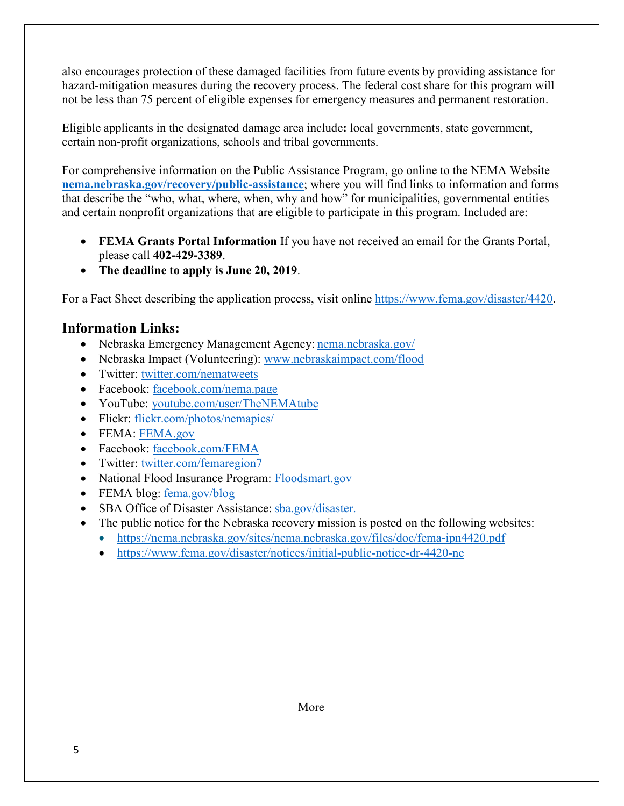also encourages protection of these damaged facilities from future events by providing assistance for hazard-mitigation measures during the recovery process. The federal cost share for this program will not be less than 75 percent of eligible expenses for emergency measures and permanent restoration.

Eligible applicants in the designated damage area include**:** local governments, state government, certain non-profit organizations, schools and tribal governments.

For comprehensive information on the Public Assistance Program, go online to the NEMA Website **[nema.nebraska.gov/recovery/public-assistance](https://nema.nebraska.gov/recovery/public-assistance)**; where you will find links to information and forms that describe the "who, what, where, when, why and how" for municipalities, governmental entities and certain nonprofit organizations that are eligible to participate in this program. Included are:

- **FEMA Grants Portal Information** If you have not received an email for the Grants Portal, please call **402-429-3389**.
- **The deadline to apply is June 20, 2019**.

For a Fact Sheet describing the application process, visit online [https://www.fema.gov/disaster/4420.](https://www.fema.gov/disaster/4420)

# **Information Links:**

- Nebraska Emergency Management Agency: [nema.nebraska.gov/](https://nema.nebraska.gov/)
- Nebraska Impact (Volunteering): [www.nebraskaimpact.com/flood](http://www.nebraskaimpact.com/flood)
- Twitter: [twitter.com/nematweets](https://twitter.com/nematweets)
- Facebook: [facebook.com/nema.page](https://www.facebook.com/nema.page)
- YouTube: [youtube.com/user/TheNEMAtube](https://www.youtube.com/user/TheNEMAtube)
- Flickr: [flickr.com/photos/nemapics/](https://www.flickr.com/photos/nemapics/)
- FEMA: [FEMA.gov](https://www.fema.gov/)
- Facebook: [facebook.com/FEMA](https://www.facebook.com/FEMA)
- Twitter: [twitter.com/femaregion7](https://twitter.com/femaregion7)
- National Flood Insurance Program: [Floodsmart.gov](https://www.floodsmart.gov/)
- FEMA blog: [fema.gov/blog](https://www.fema.gov/blog)
- SBA Office of Disaster Assistance: [sba.gov/disaster.](http://www.sba.gov/disaster)
- The public notice for the Nebraska recovery mission is posted on the following websites:
	- <https://nema.nebraska.gov/sites/nema.nebraska.gov/files/doc/fema-ipn4420.pdf>
	- <https://www.fema.gov/disaster/notices/initial-public-notice-dr-4420-ne>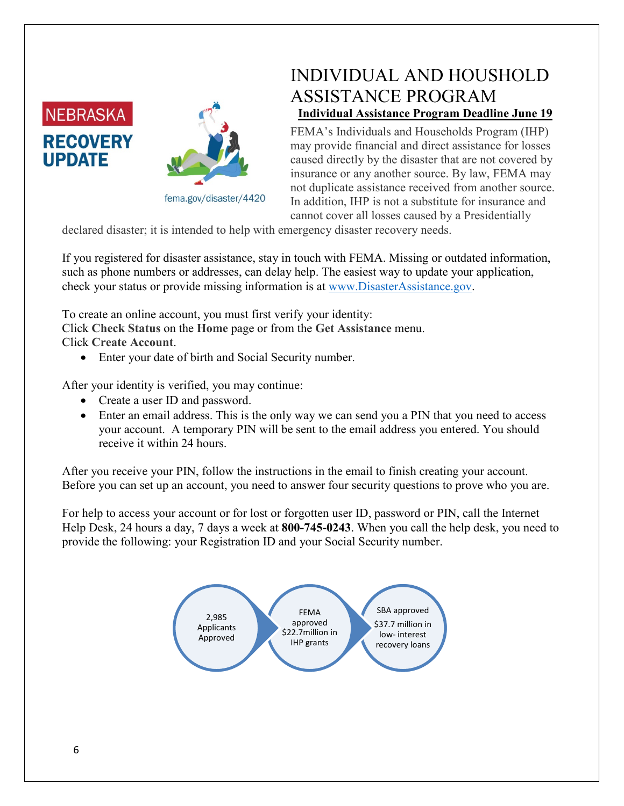

fema.gov/disaster/4420

# INDIVIDUAL AND HOUSHOLD ASSISTANCE PROGRAM **Individual Assistance Program Deadline June 19**

FEMA's Individuals and Households Program (IHP) may provide financial and direct assistance for losses caused directly by the disaster that are not covered by insurance or any another source. By law, FEMA may not duplicate assistance received from another source. In addition, IHP is not a substitute for insurance and cannot cover all losses caused by a Presidentially

declared disaster; it is intended to help with emergency disaster recovery needs.

If you registered for disaster assistance, stay in touch with FEMA. Missing or outdated information, such as phone numbers or addresses, can delay help. The easiest way to update your application, check your status or provide missing information is at [www.DisasterAssistance.gov.](http://www.disasterassistance.gov/)

To create an online account, you must first verify your identity:

Click **Check Status** on the **Home** page or from the **Get Assistance** menu. Click **Create Account**.

• Enter your date of birth and Social Security number.

After your identity is verified, you may continue:

- Create a user ID and password.
- Enter an email address. This is the only way we can send you a PIN that you need to access your account. A temporary PIN will be sent to the email address you entered. You should receive it within 24 hours.

After you receive your PIN, follow the instructions in the email to finish creating your account. Before you can set up an account, you need to answer four security questions to prove who you are.

For help to access your account or for lost or forgotten user ID, password or PIN, call the Internet Help Desk, 24 hours a day, 7 days a week at **800-745-0243**. When you call the help desk, you need to provide the following: your Registration ID and your Social Security number.